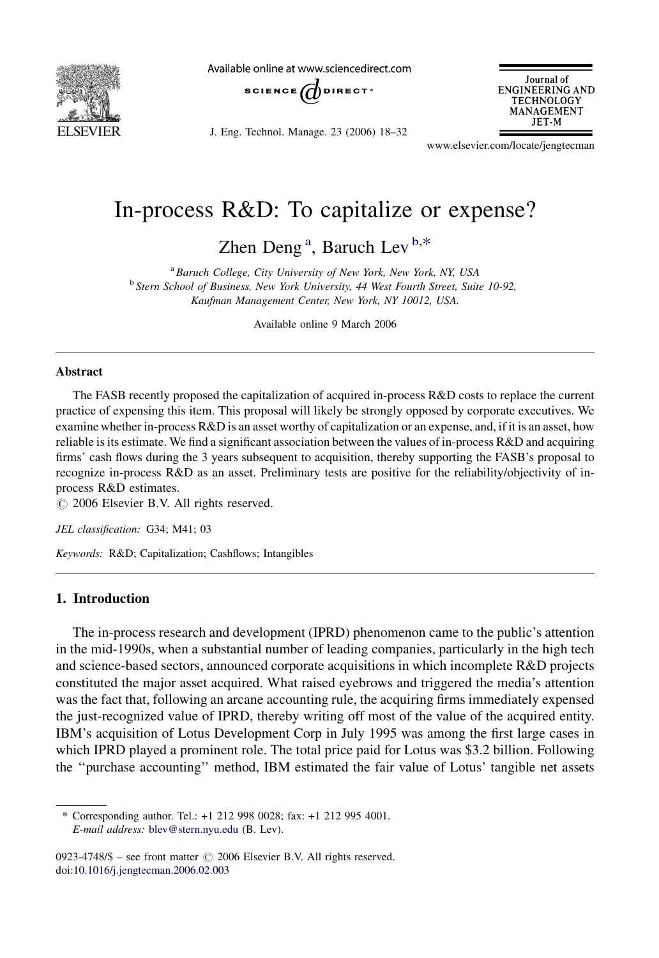<span id="page-0-0"></span>

Available online at www.sciencedirect.com



J. Eng. Technol. Manage. 23 (2006) 18–32

Journal of **ENGINEERING AND TECHNOLOGY MANAGEMENT** JET-M

www.elsevier.com/locate/jengtecman

# In-process R&D: To capitalize or expense?

Zhen Deng<sup>a</sup>, Baruch Lev<sup>b,\*</sup>

<sup>a</sup> Baruch College, City University of New York, New York, NY, USA <sup>b</sup> Stern School of Business, New York University, 44 West Fourth Street, Suite 10-92, Kaufman Management Center, New York, NY 10012, USA.

Available online 9 March 2006

### Abstract

The FASB recently proposed the capitalization of acquired in-process R&D costs to replace the current practice of expensing this item. This proposal will likely be strongly opposed by corporate executives. We examine whether in-process R&D is an asset worthy of capitalization or an expense, and, if it is an asset, how reliable is its estimate. We find a significant association between the values of in-process R&D and acquiring firms' cash flows during the 3 years subsequent to acquisition, thereby supporting the FASB's proposal to recognize in-process R&D as an asset. Preliminary tests are positive for the reliability/objectivity of inprocess R&D estimates.

 $\odot$  2006 Elsevier B.V. All rights reserved.

JEL classification: G34; M41; 03

Keywords: R&D; Capitalization; Cashflows; Intangibles

# 1. Introduction

The in-process research and development (IPRD) phenomenon came to the public's attention in the mid-1990s, when a substantial number of leading companies, particularly in the high tech and science-based sectors, announced corporate acquisitions in which incomplete R&D projects constituted the major asset acquired. What raised eyebrows and triggered the media's attention was the fact that, following an arcane accounting rule, the acquiring firms immediately expensed the just-recognized value of IPRD, thereby writing off most of the value of the acquired entity. IBM's acquisition of Lotus Development Corp in July 1995 was among the first large cases in which IPRD played a prominent role. The total price paid for Lotus was \$3.2 billion. Following the ''purchase accounting'' method, IBM estimated the fair value of Lotus' tangible net assets

<sup>\*</sup> Corresponding author. Tel.: +1 212 998 0028; fax: +1 212 995 4001. E-mail address: [blev@stern.nyu.edu](mailto:blev@stern.nyu.edu) (B. Lev).

<sup>0923-4748/\$ –</sup> see front matter  $\odot$  2006 Elsevier B.V. All rights reserved. doi[:10.1016/j.jengtecman.2006.02.003](http://dx.doi.org/10.1016/j.jengtecman.2006.02.003)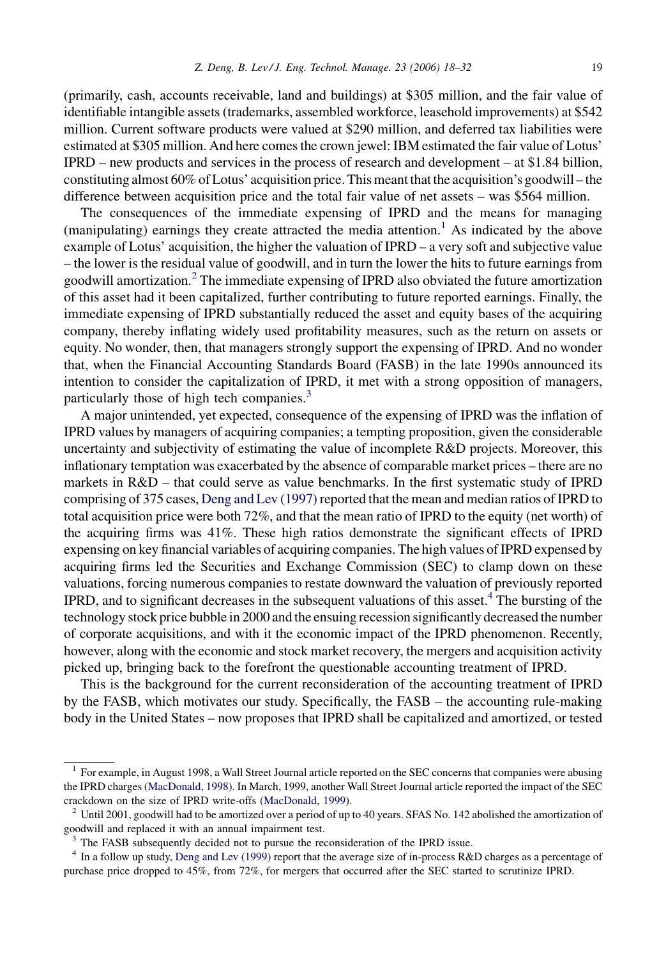(primarily, cash, accounts receivable, land and buildings) at \$305 million, and the fair value of identifiable intangible assets (trademarks, assembled workforce, leasehold improvements) at \$542 million. Current software products were valued at \$290 million, and deferred tax liabilities were estimated at \$305 million. And here comes the crown jewel: IBM estimated the fair value of Lotus' IPRD – new products and services in the process of research and development – at \$1.84 billion, constituting almost  $60\%$  of Lotus' acquisition price. This meant that the acquisition's goodwill – the difference between acquisition price and the total fair value of net assets – was \$564 million.

The consequences of the immediate expensing of IPRD and the means for managing (manipulating) earnings they create attracted the media attention.<sup>1</sup> As indicated by the above example of Lotus' acquisition, the higher the valuation of IPRD – a very soft and subjective value – the lower is the residual value of goodwill, and in turn the lower the hits to future earnings from goodwill amortization.<sup>2</sup> The immediate expensing of IPRD also obviated the future amortization of this asset had it been capitalized, further contributing to future reported earnings. Finally, the immediate expensing of IPRD substantially reduced the asset and equity bases of the acquiring company, thereby inflating widely used profitability measures, such as the return on assets or equity. No wonder, then, that managers strongly support the expensing of IPRD. And no wonder that, when the Financial Accounting Standards Board (FASB) in the late 1990s announced its intention to consider the capitalization of IPRD, it met with a strong opposition of managers, particularly those of high tech companies.<sup>3</sup>

A major unintended, yet expected, consequence of the expensing of IPRD was the inflation of IPRD values by managers of acquiring companies; a tempting proposition, given the considerable uncertainty and subjectivity of estimating the value of incomplete R&D projects. Moreover, this inflationary temptation was exacerbated by the absence of comparable market prices – there are no markets in R&D – that could serve as value benchmarks. In the first systematic study of IPRD comprising of 375 cases, [Deng and Lev \(1997\)](#page-14-0) reported that the mean and median ratios of IPRD to total acquisition price were both 72%, and that the mean ratio of IPRD to the equity (net worth) of the acquiring firms was 41%. These high ratios demonstrate the significant effects of IPRD expensing on key financial variables of acquiring companies. The high values of IPRD expensed by acquiring firms led the Securities and Exchange Commission (SEC) to clamp down on these valuations, forcing numerous companies to restate downward the valuation of previously reported IPRD, and to significant decreases in the subsequent valuations of this asset.4 The bursting of the technology stock price bubble in 2000 and the ensuing recession significantly decreased the number of corporate acquisitions, and with it the economic impact of the IPRD phenomenon. Recently, however, along with the economic and stock market recovery, the mergers and acquisition activity picked up, bringing back to the forefront the questionable accounting treatment of IPRD.

This is the background for the current reconsideration of the accounting treatment of IPRD by the FASB, which motivates our study. Specifically, the FASB – the accounting rule-making body in the United States – now proposes that IPRD shall be capitalized and amortized, or tested

<sup>1</sup> For example, in August 1998, a Wall Street Journal article reported on the SEC concerns that companies were abusing the IPRD charges [\(MacDonald, 1998](#page-14-0)). In March, 1999, another Wall Street Journal article reported the impact of the SEC crackdown on the size of IPRD write-offs [\(MacDonald, 1999](#page-14-0)).<br><sup>2</sup> Until 2001, goodwill had to be amortized over a period of up to 40 years. SFAS No. 142 abolished the amortization of

goodwill and replaced it with an annual impairment test.

<sup>&</sup>lt;sup>3</sup> The FASB subsequently decided not to pursue the reconsideration of the IPRD issue.

<sup>&</sup>lt;sup>4</sup> In a follow up study, [Deng and Lev \(1999\)](#page-14-0) report that the average size of in-process R&D charges as a percentage of purchase price dropped to 45%, from 72%, for mergers that occurred after the SEC started to scrutinize IPRD.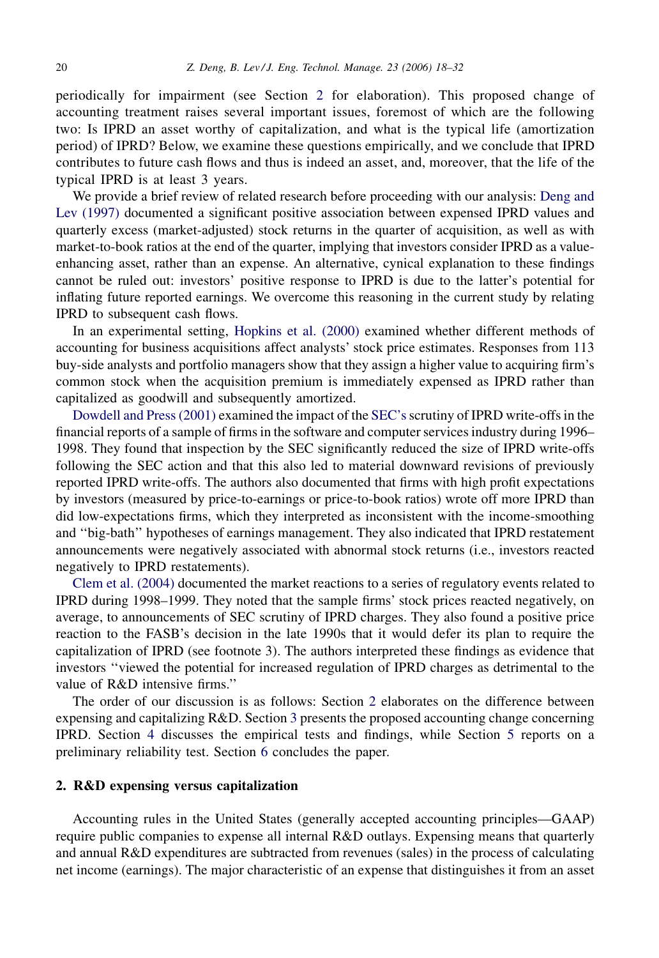periodically for impairment (see Section 2 for elaboration). This proposed change of accounting treatment raises several important issues, foremost of which are the following two: Is IPRD an asset worthy of capitalization, and what is the typical life (amortization period) of IPRD? Below, we examine these questions empirically, and we conclude that IPRD contributes to future cash flows and thus is indeed an asset, and, moreover, that the life of the typical IPRD is at least 3 years.

We provide a brief review of related research before proceeding with our analysis: [Deng and](#page-14-0) [Lev \(1997\)](#page-14-0) documented a significant positive association between expensed IPRD values and quarterly excess (market-adjusted) stock returns in the quarter of acquisition, as well as with market-to-book ratios at the end of the quarter, implying that investors consider IPRD as a valueenhancing asset, rather than an expense. An alternative, cynical explanation to these findings cannot be ruled out: investors' positive response to IPRD is due to the latter's potential for inflating future reported earnings. We overcome this reasoning in the current study by relating IPRD to subsequent cash flows.

In an experimental setting, [Hopkins et al. \(2000\)](#page-14-0) examined whether different methods of accounting for business acquisitions affect analysts' stock price estimates. Responses from 113 buy-side analysts and portfolio managers show that they assign a higher value to acquiring firm's common stock when the acquisition premium is immediately expensed as IPRD rather than capitalized as goodwill and subsequently amortized.

[Dowdell and Press \(2001\)](#page-14-0) examined the impact of the [SEC's](#page-14-0) scrutiny of IPRD write-offs in the financial reports of a sample of firms in the software and computer services industry during 1996– 1998. They found that inspection by the SEC significantly reduced the size of IPRD write-offs following the SEC action and that this also led to material downward revisions of previously reported IPRD write-offs. The authors also documented that firms with high profit expectations by investors (measured by price-to-earnings or price-to-book ratios) wrote off more IPRD than did low-expectations firms, which they interpreted as inconsistent with the income-smoothing and ''big-bath'' hypotheses of earnings management. They also indicated that IPRD restatement announcements were negatively associated with abnormal stock returns (i.e., investors reacted negatively to IPRD restatements).

[Clem et al. \(2004\)](#page-14-0) documented the market reactions to a series of regulatory events related to IPRD during 1998–1999. They noted that the sample firms' stock prices reacted negatively, on average, to announcements of SEC scrutiny of IPRD charges. They also found a positive price reaction to the FASB's decision in the late 1990s that it would defer its plan to require the capitalization of IPRD (see footnote 3). The authors interpreted these findings as evidence that investors ''viewed the potential for increased regulation of IPRD charges as detrimental to the value of R&D intensive firms.''

The order of our discussion is as follows: Section 2 elaborates on the difference between expensing and capitalizing R&D. Section [3](#page-4-0) presents the proposed accounting change concerning IPRD. Section [4](#page-6-0) discusses the empirical tests and findings, while Section [5](#page-11-0) reports on a preliminary reliability test. Section [6](#page-13-0) concludes the paper.

### 2. R&D expensing versus capitalization

Accounting rules in the United States (generally accepted accounting principles—GAAP) require public companies to expense all internal R&D outlays. Expensing means that quarterly and annual R&D expenditures are subtracted from revenues (sales) in the process of calculating net income (earnings). The major characteristic of an expense that distinguishes it from an asset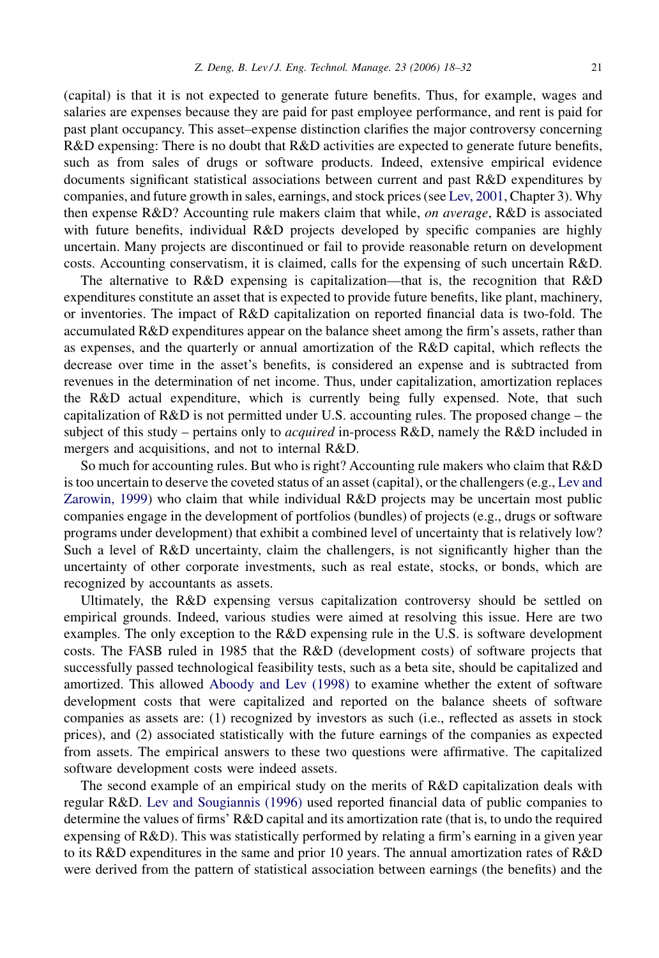(capital) is that it is not expected to generate future benefits. Thus, for example, wages and salaries are expenses because they are paid for past employee performance, and rent is paid for past plant occupancy. This asset–expense distinction clarifies the major controversy concerning R&D expensing: There is no doubt that R&D activities are expected to generate future benefits, such as from sales of drugs or software products. Indeed, extensive empirical evidence documents significant statistical associations between current and past R&D expenditures by companies, and future growth in sales, earnings, and stock prices (see [Lev, 2001,](#page-14-0) Chapter 3). Why then expense R&D? Accounting rule makers claim that while, on average, R&D is associated with future benefits, individual R&D projects developed by specific companies are highly uncertain. Many projects are discontinued or fail to provide reasonable return on development costs. Accounting conservatism, it is claimed, calls for the expensing of such uncertain R&D.

The alternative to R&D expensing is capitalization—that is, the recognition that R&D expenditures constitute an asset that is expected to provide future benefits, like plant, machinery, or inventories. The impact of R&D capitalization on reported financial data is two-fold. The accumulated R&D expenditures appear on the balance sheet among the firm's assets, rather than as expenses, and the quarterly or annual amortization of the R&D capital, which reflects the decrease over time in the asset's benefits, is considered an expense and is subtracted from revenues in the determination of net income. Thus, under capitalization, amortization replaces the R&D actual expenditure, which is currently being fully expensed. Note, that such capitalization of R&D is not permitted under U.S. accounting rules. The proposed change – the subject of this study – pertains only to *acquired* in-process R&D, namely the R&D included in mergers and acquisitions, and not to internal R&D.

So much for accounting rules. But who is right? Accounting rule makers who claim that R&D is too uncertain to deserve the coveted status of an asset (capital), or the challengers (e.g., [Lev and](#page-14-0) [Zarowin, 1999\)](#page-14-0) who claim that while individual R&D projects may be uncertain most public companies engage in the development of portfolios (bundles) of projects (e.g., drugs or software programs under development) that exhibit a combined level of uncertainty that is relatively low? Such a level of R&D uncertainty, claim the challengers, is not significantly higher than the uncertainty of other corporate investments, such as real estate, stocks, or bonds, which are recognized by accountants as assets.

Ultimately, the R&D expensing versus capitalization controversy should be settled on empirical grounds. Indeed, various studies were aimed at resolving this issue. Here are two examples. The only exception to the R&D expensing rule in the U.S. is software development costs. The FASB ruled in 1985 that the R&D (development costs) of software projects that successfully passed technological feasibility tests, such as a beta site, should be capitalized and amortized. This allowed [Aboody and Lev \(1998\)](#page-13-0) to examine whether the extent of software development costs that were capitalized and reported on the balance sheets of software companies as assets are: (1) recognized by investors as such (i.e., reflected as assets in stock prices), and (2) associated statistically with the future earnings of the companies as expected from assets. The empirical answers to these two questions were affirmative. The capitalized software development costs were indeed assets.

The second example of an empirical study on the merits of R&D capitalization deals with regular R&D. [Lev and Sougiannis \(1996\)](#page-14-0) used reported financial data of public companies to determine the values of firms' R&D capital and its amortization rate (that is, to undo the required expensing of R&D). This was statistically performed by relating a firm's earning in a given year to its R&D expenditures in the same and prior 10 years. The annual amortization rates of R&D were derived from the pattern of statistical association between earnings (the benefits) and the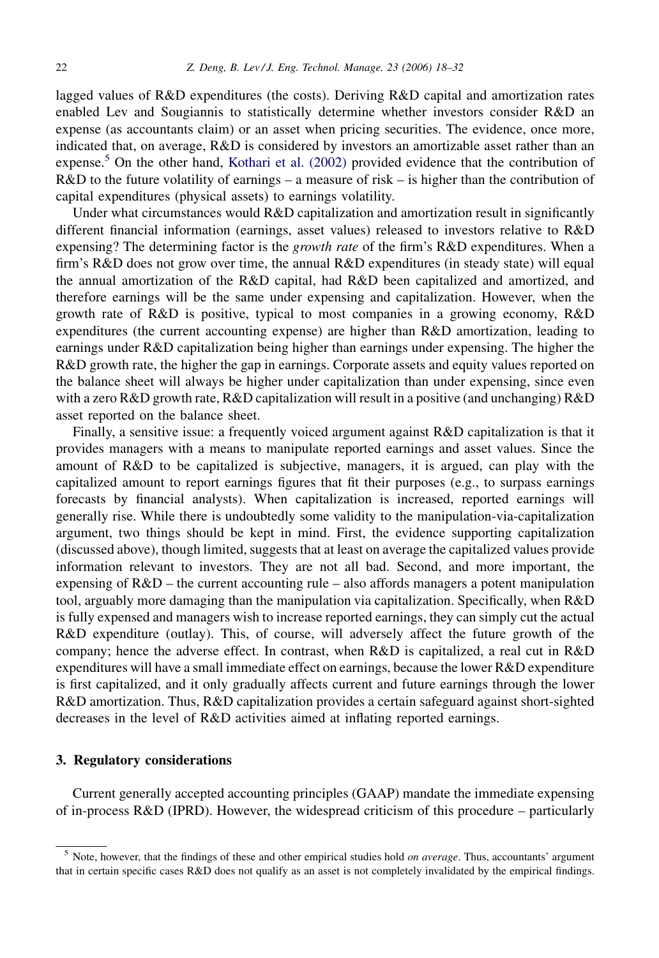<span id="page-4-0"></span>lagged values of R&D expenditures (the costs). Deriving R&D capital and amortization rates enabled Lev and Sougiannis to statistically determine whether investors consider R&D an expense (as accountants claim) or an asset when pricing securities. The evidence, once more, indicated that, on average, R&D is considered by investors an amortizable asset rather than an expense.<sup>5</sup> On the other hand, Kothari et al.  $(2002)$  provided evidence that the contribution of  $R&D$  to the future volatility of earnings – a measure of risk – is higher than the contribution of capital expenditures (physical assets) to earnings volatility.

Under what circumstances would R&D capitalization and amortization result in significantly different financial information (earnings, asset values) released to investors relative to R&D expensing? The determining factor is the *growth rate* of the firm's R&D expenditures. When a firm's R&D does not grow over time, the annual R&D expenditures (in steady state) will equal the annual amortization of the R&D capital, had R&D been capitalized and amortized, and therefore earnings will be the same under expensing and capitalization. However, when the growth rate of R&D is positive, typical to most companies in a growing economy, R&D expenditures (the current accounting expense) are higher than R&D amortization, leading to earnings under R&D capitalization being higher than earnings under expensing. The higher the R&D growth rate, the higher the gap in earnings. Corporate assets and equity values reported on the balance sheet will always be higher under capitalization than under expensing, since even with a zero R&D growth rate, R&D capitalization will result in a positive (and unchanging) R&D asset reported on the balance sheet.

Finally, a sensitive issue: a frequently voiced argument against R&D capitalization is that it provides managers with a means to manipulate reported earnings and asset values. Since the amount of R&D to be capitalized is subjective, managers, it is argued, can play with the capitalized amount to report earnings figures that fit their purposes (e.g., to surpass earnings forecasts by financial analysts). When capitalization is increased, reported earnings will generally rise. While there is undoubtedly some validity to the manipulation-via-capitalization argument, two things should be kept in mind. First, the evidence supporting capitalization (discussed above), though limited, suggests that at least on average the capitalized values provide information relevant to investors. They are not all bad. Second, and more important, the expensing of R&D – the current accounting rule – also affords managers a potent manipulation tool, arguably more damaging than the manipulation via capitalization. Specifically, when R&D is fully expensed and managers wish to increase reported earnings, they can simply cut the actual R&D expenditure (outlay). This, of course, will adversely affect the future growth of the company; hence the adverse effect. In contrast, when R&D is capitalized, a real cut in R&D expenditures will have a small immediate effect on earnings, because the lower  $R&D$  expenditure is first capitalized, and it only gradually affects current and future earnings through the lower R&D amortization. Thus, R&D capitalization provides a certain safeguard against short-sighted decreases in the level of R&D activities aimed at inflating reported earnings.

# 3. Regulatory considerations

Current generally accepted accounting principles (GAAP) mandate the immediate expensing of in-process R&D (IPRD). However, the widespread criticism of this procedure – particularly

 $<sup>5</sup>$  Note, however, that the findings of these and other empirical studies hold *on average*. Thus, accountants' argument</sup> that in certain specific cases R&D does not qualify as an asset is not completely invalidated by the empirical findings.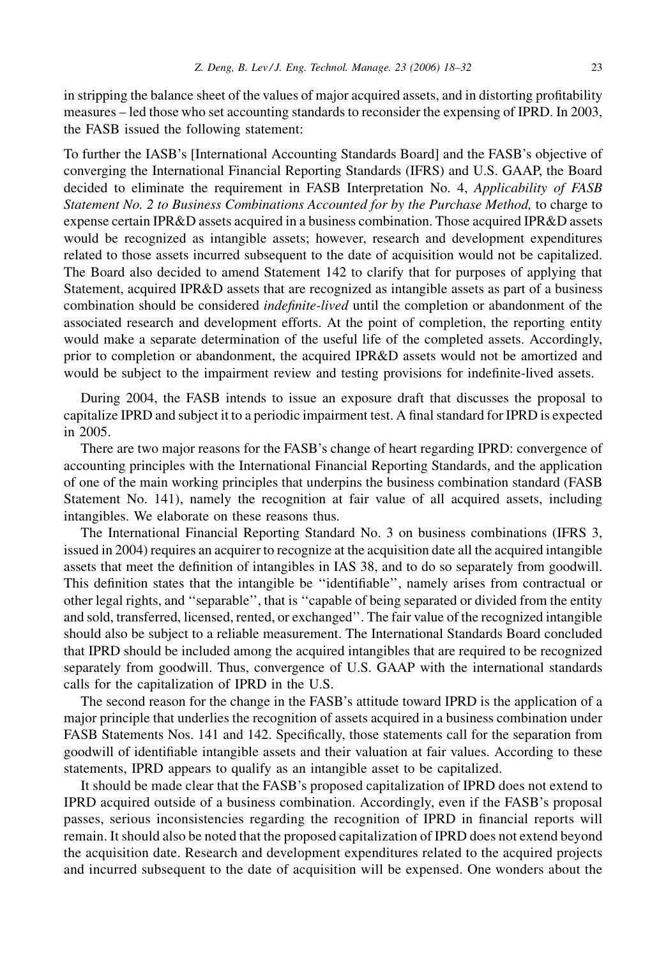in stripping the balance sheet of the values of major acquired assets, and in distorting profitability measures – led those who set accounting standards to reconsider the expensing of IPRD. In 2003, the FASB issued the following statement:

To further the IASB's [International Accounting Standards Board] and the FASB's objective of converging the International Financial Reporting Standards (IFRS) and U.S. GAAP, the Board decided to eliminate the requirement in FASB Interpretation No. 4, Applicability of FASB Statement No. 2 to Business Combinations Accounted for by the Purchase Method, to charge to expense certain IPR&D assets acquired in a business combination. Those acquired IPR&D assets would be recognized as intangible assets; however, research and development expenditures related to those assets incurred subsequent to the date of acquisition would not be capitalized. The Board also decided to amend Statement 142 to clarify that for purposes of applying that Statement, acquired IPR&D assets that are recognized as intangible assets as part of a business combination should be considered indefinite-lived until the completion or abandonment of the associated research and development efforts. At the point of completion, the reporting entity would make a separate determination of the useful life of the completed assets. Accordingly, prior to completion or abandonment, the acquired IPR&D assets would not be amortized and would be subject to the impairment review and testing provisions for indefinite-lived assets.

During 2004, the FASB intends to issue an exposure draft that discusses the proposal to capitalize IPRD and subject it to a periodic impairment test. A final standard for IPRD is expected in 2005.

There are two major reasons for the FASB's change of heart regarding IPRD: convergence of accounting principles with the International Financial Reporting Standards, and the application of one of the main working principles that underpins the business combination standard (FASB Statement No. 141), namely the recognition at fair value of all acquired assets, including intangibles. We elaborate on these reasons thus.

The International Financial Reporting Standard No. 3 on business combinations (IFRS 3, issued in 2004) requires an acquirer to recognize at the acquisition date all the acquired intangible assets that meet the definition of intangibles in IAS 38, and to do so separately from goodwill. This definition states that the intangible be ''identifiable'', namely arises from contractual or other legal rights, and ''separable'', that is ''capable of being separated or divided from the entity and sold, transferred, licensed, rented, or exchanged''. The fair value of the recognized intangible should also be subject to a reliable measurement. The International Standards Board concluded that IPRD should be included among the acquired intangibles that are required to be recognized separately from goodwill. Thus, convergence of U.S. GAAP with the international standards calls for the capitalization of IPRD in the U.S.

The second reason for the change in the FASB's attitude toward IPRD is the application of a major principle that underlies the recognition of assets acquired in a business combination under FASB Statements Nos. 141 and 142. Specifically, those statements call for the separation from goodwill of identifiable intangible assets and their valuation at fair values. According to these statements, IPRD appears to qualify as an intangible asset to be capitalized.

It should be made clear that the FASB's proposed capitalization of IPRD does not extend to IPRD acquired outside of a business combination. Accordingly, even if the FASB's proposal passes, serious inconsistencies regarding the recognition of IPRD in financial reports will remain. It should also be noted that the proposed capitalization of IPRD does not extend beyond the acquisition date. Research and development expenditures related to the acquired projects and incurred subsequent to the date of acquisition will be expensed. One wonders about the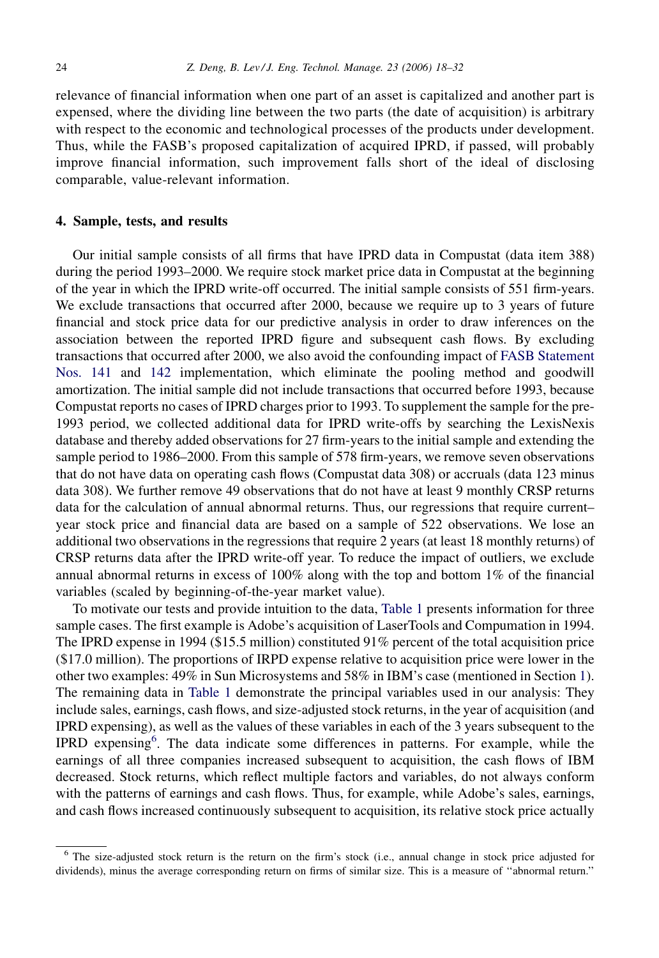<span id="page-6-0"></span>relevance of financial information when one part of an asset is capitalized and another part is expensed, where the dividing line between the two parts (the date of acquisition) is arbitrary with respect to the economic and technological processes of the products under development. Thus, while the FASB's proposed capitalization of acquired IPRD, if passed, will probably improve financial information, such improvement falls short of the ideal of disclosing comparable, value-relevant information.

# 4. Sample, tests, and results

Our initial sample consists of all firms that have IPRD data in Compustat (data item 388) during the period 1993–2000. We require stock market price data in Compustat at the beginning of the year in which the IPRD write-off occurred. The initial sample consists of 551 firm-years. We exclude transactions that occurred after 2000, because we require up to 3 years of future financial and stock price data for our predictive analysis in order to draw inferences on the association between the reported IPRD figure and subsequent cash flows. By excluding transactions that occurred after 2000, we also avoid the confounding impact of [FASB Statement](#page-14-0) [Nos. 141](#page-14-0) and [142](#page-14-0) implementation, which eliminate the pooling method and goodwill amortization. The initial sample did not include transactions that occurred before 1993, because Compustat reports no cases of IPRD charges prior to 1993. To supplement the sample for the pre-1993 period, we collected additional data for IPRD write-offs by searching the LexisNexis database and thereby added observations for 27 firm-years to the initial sample and extending the sample period to 1986–2000. From this sample of 578 firm-years, we remove seven observations that do not have data on operating cash flows (Compustat data 308) or accruals (data 123 minus data 308). We further remove 49 observations that do not have at least 9 monthly CRSP returns data for the calculation of annual abnormal returns. Thus, our regressions that require current– year stock price and financial data are based on a sample of 522 observations. We lose an additional two observations in the regressions that require 2 years (at least 18 monthly returns) of CRSP returns data after the IPRD write-off year. To reduce the impact of outliers, we exclude annual abnormal returns in excess of 100% along with the top and bottom 1% of the financial variables (scaled by beginning-of-the-year market value).

To motivate our tests and provide intuition to the data, [Table 1](#page-7-0) presents information for three sample cases. The first example is Adobe's acquisition of LaserTools and Compumation in 1994. The IPRD expense in 1994 (\$15.5 million) constituted 91% percent of the total acquisition price (\$17.0 million). The proportions of IRPD expense relative to acquisition price were lower in the other two examples: 49% in Sun Microsystems and 58% in IBM's case (mentioned in Section [1](#page-0-0)). The remaining data in [Table 1](#page-7-0) demonstrate the principal variables used in our analysis: They include sales, earnings, cash flows, and size-adjusted stock returns, in the year of acquisition (and IPRD expensing), as well as the values of these variables in each of the 3 years subsequent to the IPRD expensing<sup>6</sup>. The data indicate some differences in patterns. For example, while the earnings of all three companies increased subsequent to acquisition, the cash flows of IBM decreased. Stock returns, which reflect multiple factors and variables, do not always conform with the patterns of earnings and cash flows. Thus, for example, while Adobe's sales, earnings, and cash flows increased continuously subsequent to acquisition, its relative stock price actually

<sup>6</sup> The size-adjusted stock return is the return on the firm's stock (i.e., annual change in stock price adjusted for dividends), minus the average corresponding return on firms of similar size. This is a measure of ''abnormal return.''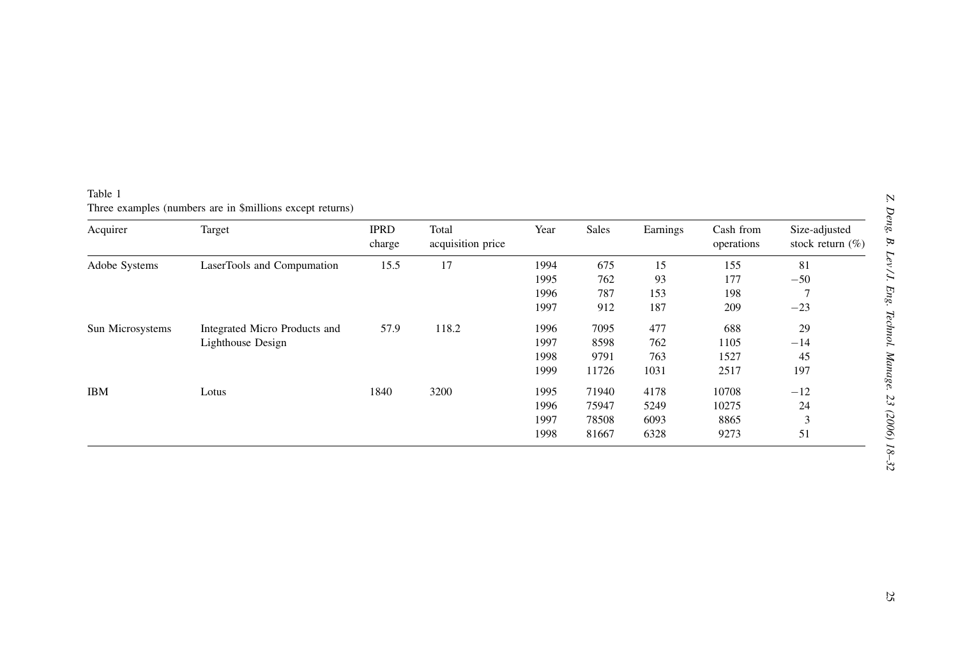<span id="page-7-0"></span>

| Target              | <b>IPRD</b><br>charge                                       | Total<br>acquisition price | Year | Sales | Earnings | Cash from<br>operations | Size-adjusted<br>stock return $(\% )$ |
|---------------------|-------------------------------------------------------------|----------------------------|------|-------|----------|-------------------------|---------------------------------------|
|                     | 15.5                                                        | 17                         | 1994 | 675   | 15       | 155                     | 81                                    |
|                     |                                                             |                            | 1995 | 762   | 93       | 177                     | $-50$                                 |
|                     |                                                             |                            | 1996 | 787   | 153      | 198                     | $\overline{7}$                        |
|                     |                                                             |                            | 1997 | 912   | 187      | 209                     | $-23$                                 |
| Sun Microsystems    |                                                             | 118.2                      | 1996 | 7095  | 477      | 688                     | 29                                    |
| Lighthouse Design   |                                                             |                            | 1997 | 8598  | 762      | 1105                    | $-14$                                 |
|                     |                                                             |                            | 1998 | 9791  | 763      | 1527                    | 45                                    |
|                     |                                                             |                            | 1999 | 11726 | 1031     | 2517                    | 197                                   |
| <b>IBM</b><br>Lotus | 1840                                                        | 3200                       | 1995 | 71940 | 4178     | 10708                   | $-12$                                 |
|                     |                                                             |                            | 1996 | 75947 | 5249     | 10275                   | 24                                    |
|                     |                                                             |                            | 1997 | 78508 | 6093     | 8865                    | $\mathfrak{Z}$                        |
|                     |                                                             |                            | 1998 | 81667 | 6328     | 9273                    | 51                                    |
|                     |                                                             |                            |      |       |          |                         |                                       |
|                     | LaserTools and Compumation<br>Integrated Micro Products and | 57.9                       |      |       |          |                         |                                       |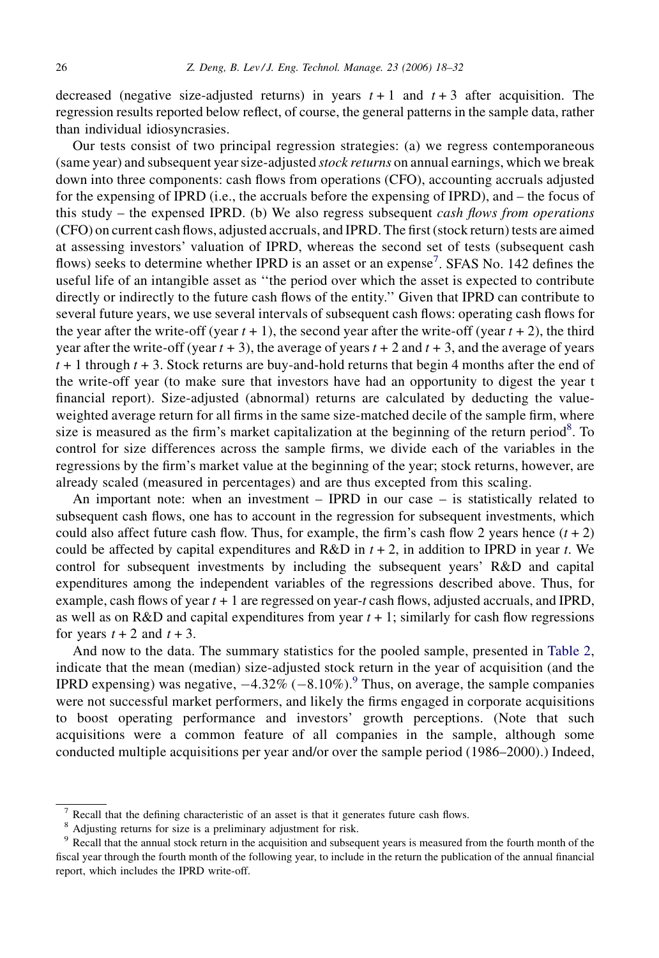decreased (negative size-adjusted returns) in years  $t + 1$  and  $t + 3$  after acquisition. The regression results reported below reflect, of course, the general patterns in the sample data, rather than individual idiosyncrasies.

Our tests consist of two principal regression strategies: (a) we regress contemporaneous (same year) and subsequent year size-adjusted *stock returns* on annual earnings, which we break down into three components: cash flows from operations (CFO), accounting accruals adjusted for the expensing of IPRD (i.e., the accruals before the expensing of IPRD), and – the focus of this study – the expensed IPRD. (b) We also regress subsequent *cash flows from operations* (CFO) on current cash flows, adjusted accruals, and IPRD. The first (stock return) tests are aimed at assessing investors' valuation of IPRD, whereas the second set of tests (subsequent cash flows) seeks to determine whether IPRD is an asset or an expense<sup>7</sup>. SFAS No. 142 defines the useful life of an intangible asset as ''the period over which the asset is expected to contribute directly or indirectly to the future cash flows of the entity.'' Given that IPRD can contribute to several future years, we use several intervals of subsequent cash flows: operating cash flows for the year after the write-off (year  $t + 1$ ), the second year after the write-off (year  $t + 2$ ), the third year after the write-off (year  $t + 3$ ), the average of years  $t + 2$  and  $t + 3$ , and the average of years  $t + 1$  through  $t + 3$ . Stock returns are buy-and-hold returns that begin 4 months after the end of the write-off year (to make sure that investors have had an opportunity to digest the year t financial report). Size-adjusted (abnormal) returns are calculated by deducting the valueweighted average return for all firms in the same size-matched decile of the sample firm, where size is measured as the firm's market capitalization at the beginning of the return period<sup>8</sup>. To control for size differences across the sample firms, we divide each of the variables in the regressions by the firm's market value at the beginning of the year; stock returns, however, are already scaled (measured in percentages) and are thus excepted from this scaling.

An important note: when an investment – IPRD in our case – is statistically related to subsequent cash flows, one has to account in the regression for subsequent investments, which could also affect future cash flow. Thus, for example, the firm's cash flow 2 years hence  $(t + 2)$ could be affected by capital expenditures and R&D in  $t + 2$ , in addition to IPRD in year t. We control for subsequent investments by including the subsequent years' R&D and capital expenditures among the independent variables of the regressions described above. Thus, for example, cash flows of year  $t + 1$  are regressed on year-t cash flows, adjusted accruals, and IPRD, as well as on R&D and capital expenditures from year  $t + 1$ ; similarly for cash flow regressions for years  $t + 2$  and  $t + 3$ .

And now to the data. The summary statistics for the pooled sample, presented in [Table 2,](#page-9-0) indicate that the mean (median) size-adjusted stock return in the year of acquisition (and the IPRD expensing) was negative,  $-4.32\%$  ( $-8.10\%$ ).<sup>9</sup> Thus, on average, the sample companies were not successful market performers, and likely the firms engaged in corporate acquisitions to boost operating performance and investors' growth perceptions. (Note that such acquisitions were a common feature of all companies in the sample, although some conducted multiple acquisitions per year and/or over the sample period (1986–2000).) Indeed,

Recall that the defining characteristic of an asset is that it generates future cash flows.

<sup>8</sup> Adjusting returns for size is a preliminary adjustment for risk.

<sup>9</sup> Recall that the annual stock return in the acquisition and subsequent years is measured from the fourth month of the fiscal year through the fourth month of the following year, to include in the return the publication of the annual financial report, which includes the IPRD write-off.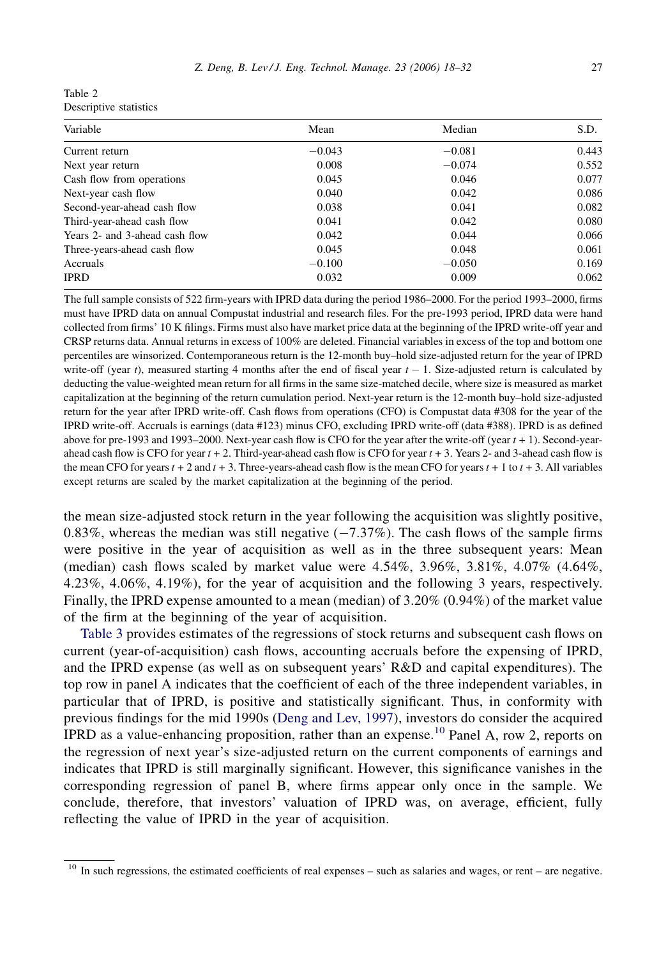<span id="page-9-0"></span>

| Table 2                |  |
|------------------------|--|
| Descriptive statistics |  |

| Variable                       | Mean     | Median   | S.D.  |
|--------------------------------|----------|----------|-------|
| Current return                 | $-0.043$ | $-0.081$ | 0.443 |
| Next year return               | 0.008    | $-0.074$ | 0.552 |
| Cash flow from operations      | 0.045    | 0.046    | 0.077 |
| Next-year cash flow            | 0.040    | 0.042    | 0.086 |
| Second-year-ahead cash flow    | 0.038    | 0.041    | 0.082 |
| Third-year-ahead cash flow     | 0.041    | 0.042    | 0.080 |
| Years 2- and 3-ahead cash flow | 0.042    | 0.044    | 0.066 |
| Three-years-ahead cash flow    | 0.045    | 0.048    | 0.061 |
| Accruals                       | $-0.100$ | $-0.050$ | 0.169 |
| <b>IPRD</b>                    | 0.032    | 0.009    | 0.062 |

The full sample consists of 522 firm-years with IPRD data during the period 1986–2000. For the period 1993–2000, firms must have IPRD data on annual Compustat industrial and research files. For the pre-1993 period, IPRD data were hand collected from firms' 10 K filings. Firms must also have market price data at the beginning of the IPRD write-off year and CRSP returns data. Annual returns in excess of 100% are deleted. Financial variables in excess of the top and bottom one percentiles are winsorized. Contemporaneous return is the 12-month buy–hold size-adjusted return for the year of IPRD write-off (year t), measured starting 4 months after the end of fiscal year  $t - 1$ . Size-adjusted return is calculated by deducting the value-weighted mean return for all firms in the same size-matched decile, where size is measured as market capitalization at the beginning of the return cumulation period. Next-year return is the 12-month buy–hold size-adjusted return for the year after IPRD write-off. Cash flows from operations (CFO) is Compustat data #308 for the year of the IPRD write-off. Accruals is earnings (data #123) minus CFO, excluding IPRD write-off (data #388). IPRD is as defined above for pre-1993 and 1993–2000. Next-year cash flow is CFO for the year after the write-off (year  $t + 1$ ). Second-yearahead cash flow is CFO for year  $t + 2$ . Third-year-ahead cash flow is CFO for year  $t + 3$ . Years 2- and 3-ahead cash flow is the mean CFO for years  $t + 2$  and  $t + 3$ . Three-years-ahead cash flow is the mean CFO for years  $t + 1$  to  $t + 3$ . All variables except returns are scaled by the market capitalization at the beginning of the period.

the mean size-adjusted stock return in the year following the acquisition was slightly positive, 0.83%, whereas the median was still negative  $(-7.37%)$ . The cash flows of the sample firms were positive in the year of acquisition as well as in the three subsequent years: Mean (median) cash flows scaled by market value were 4.54%, 3.96%, 3.81%, 4.07% (4.64%, 4.23%, 4.06%, 4.19%), for the year of acquisition and the following 3 years, respectively. Finally, the IPRD expense amounted to a mean (median) of 3.20% (0.94%) of the market value of the firm at the beginning of the year of acquisition.

[Table 3](#page-10-0) provides estimates of the regressions of stock returns and subsequent cash flows on current (year-of-acquisition) cash flows, accounting accruals before the expensing of IPRD, and the IPRD expense (as well as on subsequent years' R&D and capital expenditures). The top row in panel A indicates that the coefficient of each of the three independent variables, in particular that of IPRD, is positive and statistically significant. Thus, in conformity with previous findings for the mid 1990s ([Deng and Lev, 1997\)](#page-14-0), investors do consider the acquired IPRD as a value-enhancing proposition, rather than an expense.<sup>10</sup> Panel A, row 2, reports on the regression of next year's size-adjusted return on the current components of earnings and indicates that IPRD is still marginally significant. However, this significance vanishes in the corresponding regression of panel B, where firms appear only once in the sample. We conclude, therefore, that investors' valuation of IPRD was, on average, efficient, fully reflecting the value of IPRD in the year of acquisition.

 $10$  In such regressions, the estimated coefficients of real expenses – such as salaries and wages, or rent – are negative.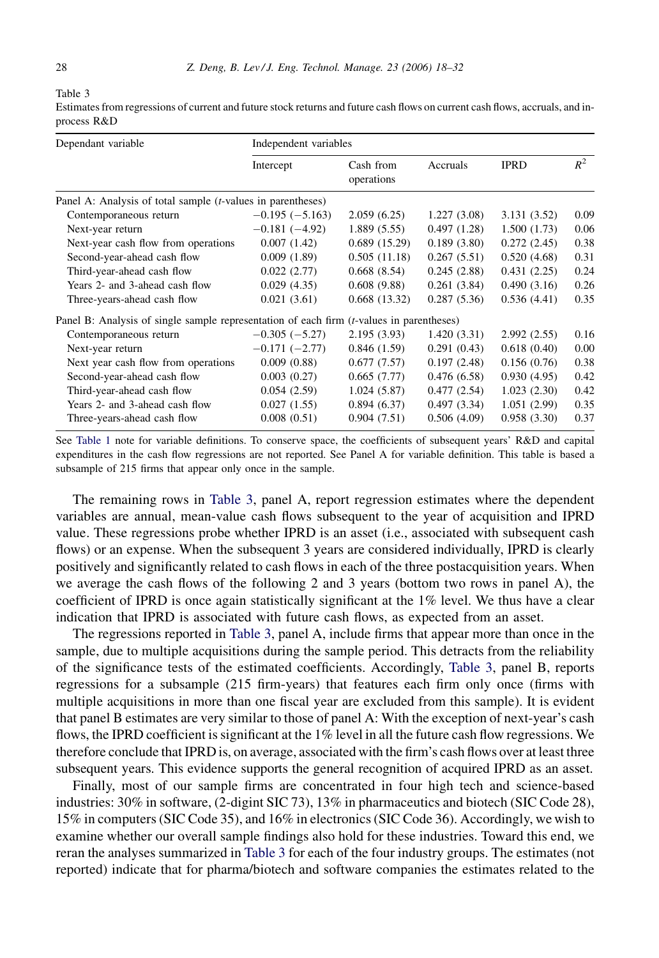<span id="page-10-0"></span>

| ۱ |  |
|---|--|
|---|--|

Estimates from regressions of current and future stock returns and future cash flows on current cash flows, accruals, and inprocess R&D

| Dependant variable                                                                                | Independent variables |                         |             |             |       |  |  |
|---------------------------------------------------------------------------------------------------|-----------------------|-------------------------|-------------|-------------|-------|--|--|
|                                                                                                   | Intercept             | Cash from<br>operations | Accruals    | <b>IPRD</b> | $R^2$ |  |  |
| Panel A: Analysis of total sample ( <i>t</i> -values in parentheses)                              |                       |                         |             |             |       |  |  |
| Contemporaneous return                                                                            | $-0.195(-5.163)$      | 2.059(6.25)             | 1.227(3.08) | 3.131(3.52) | 0.09  |  |  |
| Next-year return                                                                                  | $-0.181(-4.92)$       | 1.889(5.55)             | 0.497(1.28) | 1.500(1.73) | 0.06  |  |  |
| Next-year cash flow from operations                                                               | 0.007(1.42)           | 0.689(15.29)            | 0.189(3.80) | 0.272(2.45) | 0.38  |  |  |
| Second-year-ahead cash flow                                                                       | 0.009(1.89)           | 0.505(11.18)            | 0.267(5.51) | 0.520(4.68) | 0.31  |  |  |
| Third-year-ahead cash flow                                                                        | 0.022(2.77)           | 0.668(8.54)             | 0.245(2.88) | 0.431(2.25) | 0.24  |  |  |
| Years 2- and 3-ahead cash flow                                                                    | 0.029(4.35)           | 0.608(9.88)             | 0.261(3.84) | 0.490(3.16) | 0.26  |  |  |
| Three-years-ahead cash flow                                                                       | 0.021(3.61)           | 0.668(13.32)            | 0.287(5.36) | 0.536(4.41) | 0.35  |  |  |
| Panel B: Analysis of single sample representation of each firm ( <i>t</i> -values in parentheses) |                       |                         |             |             |       |  |  |
| Contemporaneous return                                                                            | $-0.305(-5.27)$       | 2.195(3.93)             | 1.420(3.31) | 2.992(2.55) | 0.16  |  |  |
| Next-year return                                                                                  | $-0.171(-2.77)$       | 0.846(1.59)             | 0.291(0.43) | 0.618(0.40) | 0.00  |  |  |
| Next year cash flow from operations                                                               | 0.009(0.88)           | 0.677(7.57)             | 0.197(2.48) | 0.156(0.76) | 0.38  |  |  |
| Second-year-ahead cash flow                                                                       | 0.003(0.27)           | 0.665(7.77)             | 0.476(6.58) | 0.930(4.95) | 0.42  |  |  |
| Third-year-ahead cash flow                                                                        | 0.054(2.59)           | 1.024(5.87)             | 0.477(2.54) | 1.023(2.30) | 0.42  |  |  |
| Years 2- and 3-ahead cash flow                                                                    | 0.027(1.55)           | 0.894(6.37)             | 0.497(3.34) | 1.051(2.99) | 0.35  |  |  |
| Three-years-ahead cash flow                                                                       | 0.008(0.51)           | 0.904(7.51)             | 0.506(4.09) | 0.958(3.30) | 0.37  |  |  |

See [Table 1](#page-7-0) note for variable definitions. To conserve space, the coefficients of subsequent years' R&D and capital expenditures in the cash flow regressions are not reported. See Panel A for variable definition. This table is based a subsample of 215 firms that appear only once in the sample.

The remaining rows in Table 3, panel A, report regression estimates where the dependent variables are annual, mean-value cash flows subsequent to the year of acquisition and IPRD value. These regressions probe whether IPRD is an asset (i.e., associated with subsequent cash flows) or an expense. When the subsequent 3 years are considered individually, IPRD is clearly positively and significantly related to cash flows in each of the three postacquisition years. When we average the cash flows of the following 2 and 3 years (bottom two rows in panel A), the coefficient of IPRD is once again statistically significant at the 1% level. We thus have a clear indication that IPRD is associated with future cash flows, as expected from an asset.

The regressions reported in Table 3, panel A, include firms that appear more than once in the sample, due to multiple acquisitions during the sample period. This detracts from the reliability of the significance tests of the estimated coefficients. Accordingly, Table 3, panel B, reports regressions for a subsample (215 firm-years) that features each firm only once (firms with multiple acquisitions in more than one fiscal year are excluded from this sample). It is evident that panel B estimates are very similar to those of panel A: With the exception of next-year's cash flows, the IPRD coefficient is significant at the 1% level in all the future cash flow regressions. We therefore conclude that IPRD is, on average, associated with the firm's cash flows over at least three subsequent years. This evidence supports the general recognition of acquired IPRD as an asset.

Finally, most of our sample firms are concentrated in four high tech and science-based industries: 30% in software, (2-digint SIC 73), 13% in pharmaceutics and biotech (SIC Code 28), 15% in computers (SIC Code 35), and 16% in electronics (SIC Code 36). Accordingly, we wish to examine whether our overall sample findings also hold for these industries. Toward this end, we reran the analyses summarized in Table 3 for each of the four industry groups. The estimates (not reported) indicate that for pharma/biotech and software companies the estimates related to the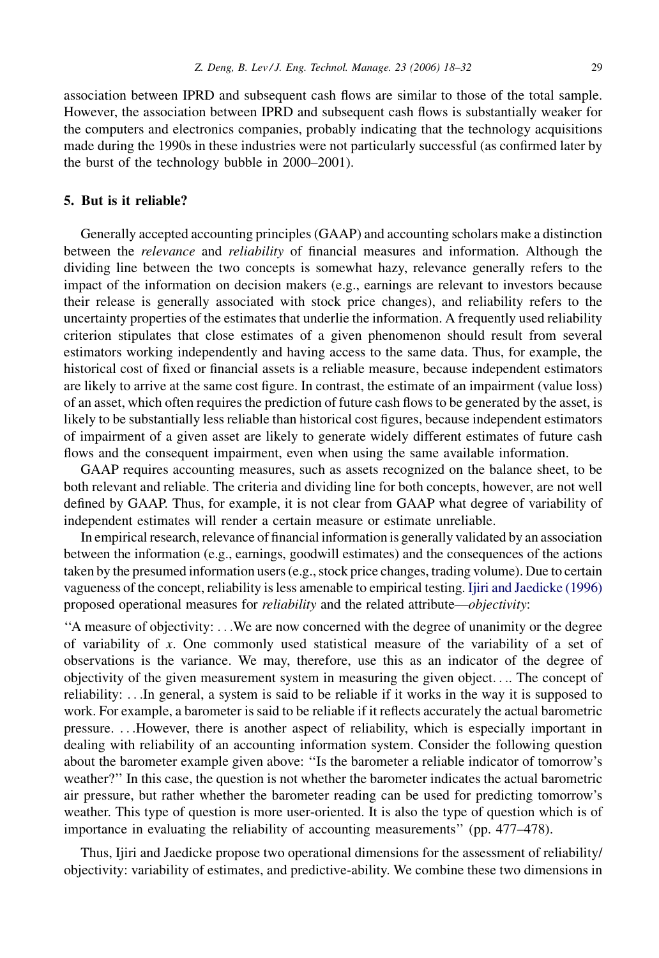<span id="page-11-0"></span>association between IPRD and subsequent cash flows are similar to those of the total sample. However, the association between IPRD and subsequent cash flows is substantially weaker for the computers and electronics companies, probably indicating that the technology acquisitions made during the 1990s in these industries were not particularly successful (as confirmed later by the burst of the technology bubble in 2000–2001).

### 5. But is it reliable?

Generally accepted accounting principles (GAAP) and accounting scholars make a distinction between the *relevance* and *reliability* of financial measures and information. Although the dividing line between the two concepts is somewhat hazy, relevance generally refers to the impact of the information on decision makers (e.g., earnings are relevant to investors because their release is generally associated with stock price changes), and reliability refers to the uncertainty properties of the estimates that underlie the information. A frequently used reliability criterion stipulates that close estimates of a given phenomenon should result from several estimators working independently and having access to the same data. Thus, for example, the historical cost of fixed or financial assets is a reliable measure, because independent estimators are likely to arrive at the same cost figure. In contrast, the estimate of an impairment (value loss) of an asset, which often requires the prediction of future cash flows to be generated by the asset, is likely to be substantially less reliable than historical cost figures, because independent estimators of impairment of a given asset are likely to generate widely different estimates of future cash flows and the consequent impairment, even when using the same available information.

GAAP requires accounting measures, such as assets recognized on the balance sheet, to be both relevant and reliable. The criteria and dividing line for both concepts, however, are not well defined by GAAP. Thus, for example, it is not clear from GAAP what degree of variability of independent estimates will render a certain measure or estimate unreliable.

In empirical research, relevance of financial information is generally validated by an association between the information (e.g., earnings, goodwill estimates) and the consequences of the actions taken by the presumed information users (e.g., stock price changes, trading volume). Due to certain vagueness of the concept, reliability is less amenable to empirical testing. [Ijiri and Jaedicke \(1996\)](#page-14-0) proposed operational measures for reliability and the related attribute—objectivity:

 $A$  measure of objectivity:  $\ldots$  We are now concerned with the degree of unanimity or the degree of variability of x. One commonly used statistical measure of the variability of a set of observations is the variance. We may, therefore, use this as an indicator of the degree of objectivity of the given measurement system in measuring the given object.... The concept of reliability: ...In general, a system is said to be reliable if it works in the way it is supposed to work. For example, a barometer is said to be reliable if it reflects accurately the actual barometric pressure. ...However, there is another aspect of reliability, which is especially important in dealing with reliability of an accounting information system. Consider the following question about the barometer example given above: ''Is the barometer a reliable indicator of tomorrow's weather?'' In this case, the question is not whether the barometer indicates the actual barometric air pressure, but rather whether the barometer reading can be used for predicting tomorrow's weather. This type of question is more user-oriented. It is also the type of question which is of importance in evaluating the reliability of accounting measurements'' (pp. 477–478).

Thus, Ijiri and Jaedicke propose two operational dimensions for the assessment of reliability/ objectivity: variability of estimates, and predictive-ability. We combine these two dimensions in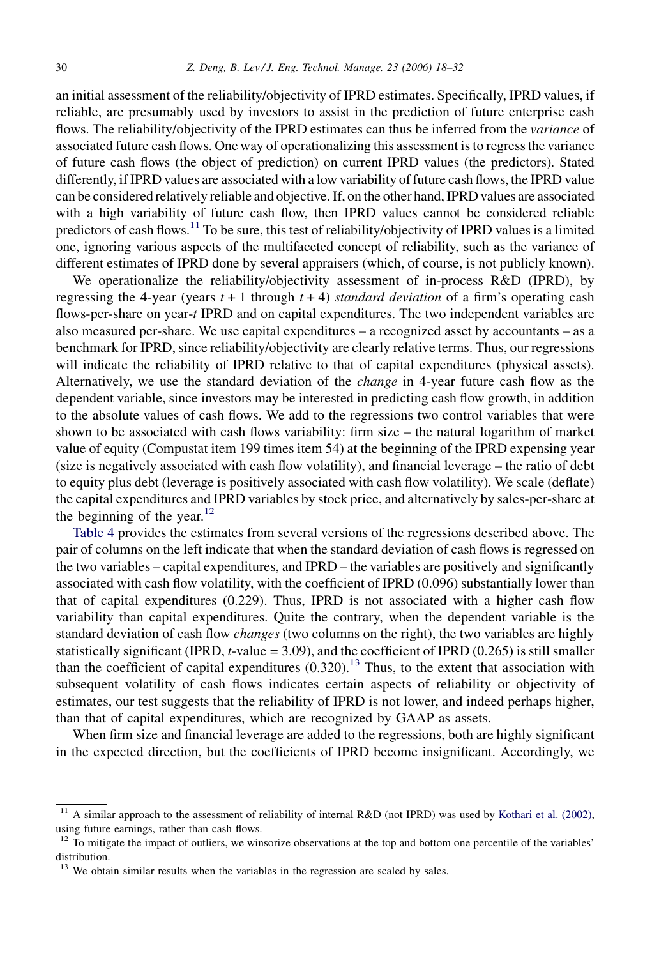an initial assessment of the reliability/objectivity of IPRD estimates. Specifically, IPRD values, if reliable, are presumably used by investors to assist in the prediction of future enterprise cash flows. The reliability/objectivity of the IPRD estimates can thus be inferred from the *variance* of associated future cash flows. One way of operationalizing this assessment is to regress the variance of future cash flows (the object of prediction) on current IPRD values (the predictors). Stated differently, if IPRD values are associated with a low variability of future cash flows, the IPRD value can be considered relatively reliable and objective. If, on the other hand, IPRD values are associated with a high variability of future cash flow, then IPRD values cannot be considered reliable predictors of cash flows.11 To be sure, this test of reliability/objectivity of IPRD values is a limited one, ignoring various aspects of the multifaceted concept of reliability, such as the variance of different estimates of IPRD done by several appraisers (which, of course, is not publicly known).

We operationalize the reliability/objectivity assessment of in-process R&D (IPRD), by regressing the 4-year (years  $t + 1$  through  $t + 4$ ) standard deviation of a firm's operating cash flows-per-share on year-t IPRD and on capital expenditures. The two independent variables are also measured per-share. We use capital expenditures – a recognized asset by accountants – as a benchmark for IPRD, since reliability/objectivity are clearly relative terms. Thus, our regressions will indicate the reliability of IPRD relative to that of capital expenditures (physical assets). Alternatively, we use the standard deviation of the change in 4-year future cash flow as the dependent variable, since investors may be interested in predicting cash flow growth, in addition to the absolute values of cash flows. We add to the regressions two control variables that were shown to be associated with cash flows variability: firm size – the natural logarithm of market value of equity (Compustat item 199 times item 54) at the beginning of the IPRD expensing year (size is negatively associated with cash flow volatility), and financial leverage – the ratio of debt to equity plus debt (leverage is positively associated with cash flow volatility). We scale (deflate) the capital expenditures and IPRD variables by stock price, and alternatively by sales-per-share at the beginning of the year. $12$ 

[Table 4](#page-13-0) provides the estimates from several versions of the regressions described above. The pair of columns on the left indicate that when the standard deviation of cash flows is regressed on the two variables – capital expenditures, and IPRD – the variables are positively and significantly associated with cash flow volatility, with the coefficient of IPRD (0.096) substantially lower than that of capital expenditures (0.229). Thus, IPRD is not associated with a higher cash flow variability than capital expenditures. Quite the contrary, when the dependent variable is the standard deviation of cash flow *changes* (two columns on the right), the two variables are highly statistically significant (IPRD,  $t$ -value = 3.09), and the coefficient of IPRD (0.265) is still smaller than the coefficient of capital expenditures  $(0.320)$ .<sup>13</sup> Thus, to the extent that association with subsequent volatility of cash flows indicates certain aspects of reliability or objectivity of estimates, our test suggests that the reliability of IPRD is not lower, and indeed perhaps higher, than that of capital expenditures, which are recognized by GAAP as assets.

When firm size and financial leverage are added to the regressions, both are highly significant in the expected direction, but the coefficients of IPRD become insignificant. Accordingly, we

<sup>&</sup>lt;sup>11</sup> A similar approach to the assessment of reliability of internal R&D (not IPRD) was used by [Kothari et al. \(2002\)](#page-14-0), using future earnings, rather than cash flows.

 $12$  To mitigate the impact of outliers, we winsorize observations at the top and bottom one percentile of the variables' distribution.

 $13$  We obtain similar results when the variables in the regression are scaled by sales.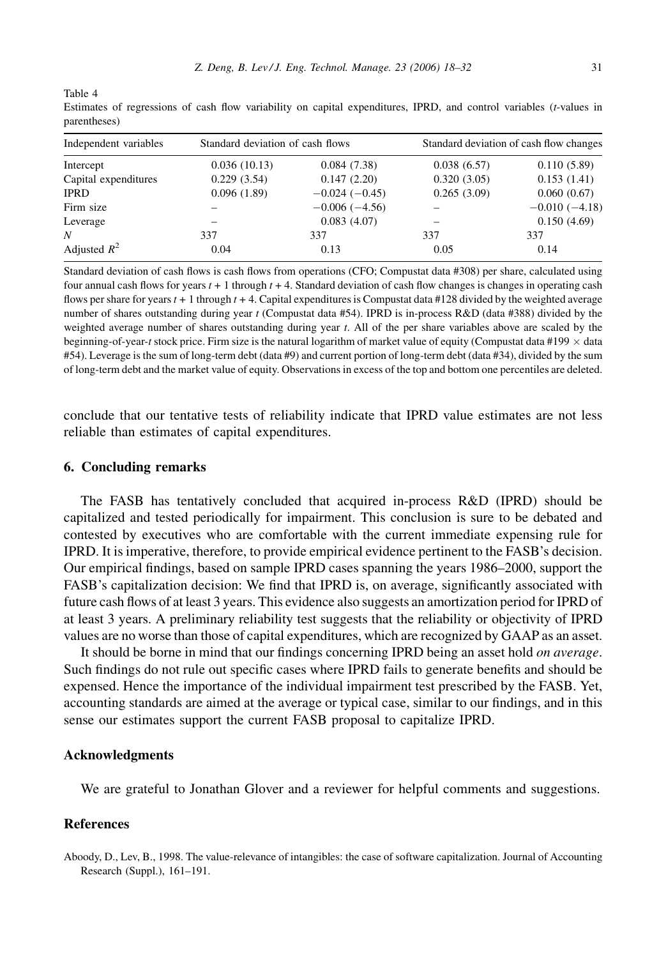<span id="page-13-0"></span>Table 4

| Independent variables | Standard deviation of cash flows |                 | Standard deviation of cash flow changes |                 |  |
|-----------------------|----------------------------------|-----------------|-----------------------------------------|-----------------|--|
| Intercept             | 0.036(10.13)                     | 0.084(7.38)     | 0.038(6.57)                             | 0.110(5.89)     |  |
| Capital expenditures  | 0.229(3.54)                      | 0.147(2.20)     | 0.320(3.05)                             | 0.153(1.41)     |  |
| <b>IPRD</b>           | 0.096(1.89)                      | $-0.024(-0.45)$ | 0.265(3.09)                             | 0.060(0.67)     |  |
| Firm size             |                                  | $-0.006(-4.56)$ |                                         | $-0.010(-4.18)$ |  |
| Leverage              |                                  | 0.083(4.07)     |                                         | 0.150(4.69)     |  |
| N                     | 337                              | 337             | 337                                     | 337             |  |
| Adjusted $R^2$        | 0.04                             | 0.13            | 0.05                                    | 0.14            |  |

Estimates of regressions of cash flow variability on capital expenditures, IPRD, and control variables (t-values in parentheses)

Standard deviation of cash flows is cash flows from operations (CFO; Compustat data #308) per share, calculated using four annual cash flows for years  $t + 1$  through  $t + 4$ . Standard deviation of cash flow changes is changes in operating cash flows per share for years  $t + 1$  through  $t + 4$ . Capital expenditures is Compustat data #128 divided by the weighted average number of shares outstanding during year t (Compustat data #54). IPRD is in-process R&D (data #388) divided by the weighted average number of shares outstanding during year t. All of the per share variables above are scaled by the beginning-of-year-t stock price. Firm size is the natural logarithm of market value of equity (Compustat data #199  $\times$  data #54). Leverage is the sum of long-term debt (data #9) and current portion of long-term debt (data #34), divided by the sum of long-term debt and the market value of equity. Observations in excess of the top and bottom one percentiles are deleted.

conclude that our tentative tests of reliability indicate that IPRD value estimates are not less reliable than estimates of capital expenditures.

### 6. Concluding remarks

The FASB has tentatively concluded that acquired in-process R&D (IPRD) should be capitalized and tested periodically for impairment. This conclusion is sure to be debated and contested by executives who are comfortable with the current immediate expensing rule for IPRD. It is imperative, therefore, to provide empirical evidence pertinent to the FASB's decision. Our empirical findings, based on sample IPRD cases spanning the years 1986–2000, support the FASB's capitalization decision: We find that IPRD is, on average, significantly associated with future cash flows of at least 3 years. This evidence also suggests an amortization period for IPRD of at least 3 years. A preliminary reliability test suggests that the reliability or objectivity of IPRD values are no worse than those of capital expenditures, which are recognized by GAAP as an asset.

It should be borne in mind that our findings concerning IPRD being an asset hold on average. Such findings do not rule out specific cases where IPRD fails to generate benefits and should be expensed. Hence the importance of the individual impairment test prescribed by the FASB. Yet, accounting standards are aimed at the average or typical case, similar to our findings, and in this sense our estimates support the current FASB proposal to capitalize IPRD.

# Acknowledgments

We are grateful to Jonathan Glover and a reviewer for helpful comments and suggestions.

### References

Aboody, D., Lev, B., 1998. The value-relevance of intangibles: the case of software capitalization. Journal of Accounting Research (Suppl.), 161–191.